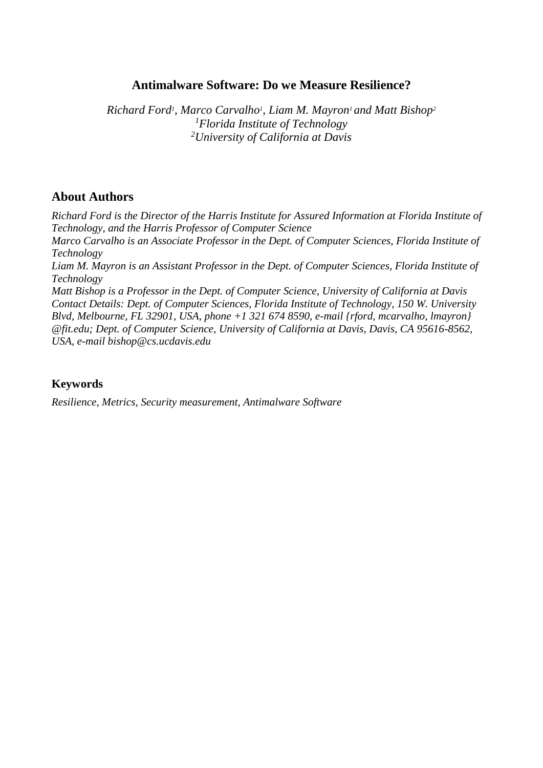### **Antimalware Software: Do we Measure Resilience?**

*Richard Ford<sup>1</sup> , Marco Carvalho<sup>1</sup> , Liam M. Mayron<sup>1</sup> and Matt Bishop<sup>2</sup> <sup>1</sup>Florida Institute of Technology <sup>2</sup>University of California at Davis*

## **About Authors**

*Richard Ford is the Director of the Harris Institute for Assured Information at Florida Institute of Technology, and the Harris Professor of Computer Science*

*Marco Carvalho is an Associate Professor in the Dept. of Computer Sciences, Florida Institute of Technology*

*Liam M. Mayron is an Assistant Professor in the Dept. of Computer Sciences, Florida Institute of Technology*

*Matt Bishop is a Professor in the Dept. of Computer Science, University of California at Davis Contact Details: Dept. of Computer Sciences, Florida Institute of Technology, 150 W. University Blvd, Melbourne, FL 32901, USA, phone +1 321 674 8590, e-mail {rford, mcarvalho, lmayron} @fit.edu; Dept. of Computer Science, University of California at Davis, Davis, CA 95616-8562, USA, e-mail bishop@cs.ucdavis.edu*

### **Keywords**

*Resilience, Metrics, Security measurement, Antimalware Software*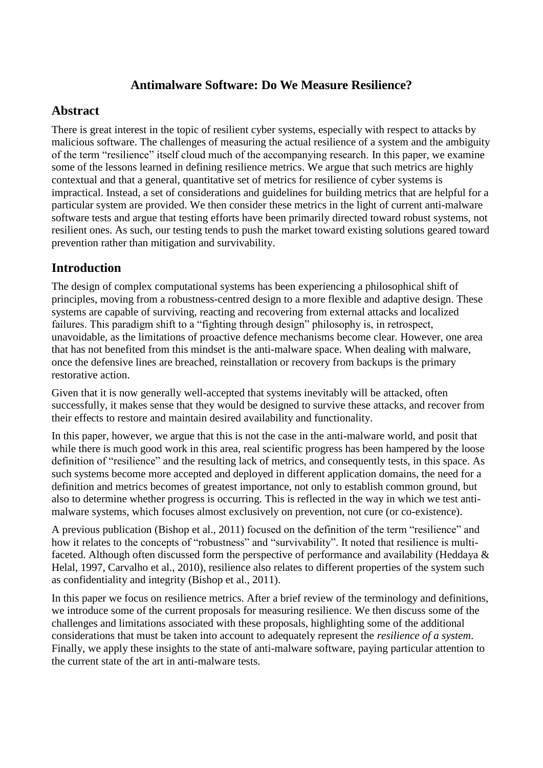# **Antimalware Software: Do We Measure Resilience?**

# **Abstract**

There is great interest in the topic of resilient cyber systems, especially with respect to attacks by malicious software. The challenges of measuring the actual resilience of a system and the ambiguity of the term "resilience" itself cloud much of the accompanying research. In this paper, we examine some of the lessons learned in defining resilience metrics. We argue that such metrics are highly contextual and that a general, quantitative set of metrics for resilience of cyber systems is impractical. Instead, a set of considerations and guidelines for building metrics that are helpful for a particular system are provided. We then consider these metrics in the light of current anti-malware software tests and argue that testing efforts have been primarily directed toward robust systems, not resilient ones. As such, our testing tends to push the market toward existing solutions geared toward prevention rather than mitigation and survivability.

# **Introduction**

The design of complex computational systems has been experiencing a philosophical shift of principles, moving from a robustness-centred design to a more flexible and adaptive design. These systems are capable of surviving, reacting and recovering from external attacks and localized failures. This paradigm shift to a "fighting through design" philosophy is, in retrospect, unavoidable, as the limitations of proactive defence mechanisms become clear. However, one area that has not benefited from this mindset is the anti-malware space. When dealing with malware, once the defensive lines are breached, reinstallation or recovery from backups is the primary restorative action.

Given that it is now generally well-accepted that systems inevitably will be attacked, often successfully, it makes sense that they would be designed to survive these attacks, and recover from their effects to restore and maintain desired availability and functionality.

In this paper, however, we argue that this is not the case in the anti-malware world, and posit that while there is much good work in this area, real scientific progress has been hampered by the loose definition of "resilience" and the resulting lack of metrics, and consequently tests, in this space. As such systems become more accepted and deployed in different application domains, the need for a definition and metrics becomes of greatest importance, not only to establish common ground, but also to determine whether progress is occurring. This is reflected in the way in which we test antimalware systems, which focuses almost exclusively on prevention, not cure (or co-existence).

A previous publication (Bishop et al., 2011) focused on the definition of the term "resilience" and how it relates to the concepts of "robustness" and "survivability". It noted that resilience is multifaceted. Although often discussed form the perspective of performance and availability (Heddaya & Helal, 1997, Carvalho et al., 2010), resilience also relates to different properties of the system such as confidentiality and integrity (Bishop et al., 2011).

In this paper we focus on resilience metrics. After a brief review of the terminology and definitions, we introduce some of the current proposals for measuring resilience. We then discuss some of the challenges and limitations associated with these proposals, highlighting some of the additional considerations that must be taken into account to adequately represent the *resilience of a system*. Finally, we apply these insights to the state of anti-malware software, paying particular attention to the current state of the art in anti-malware tests.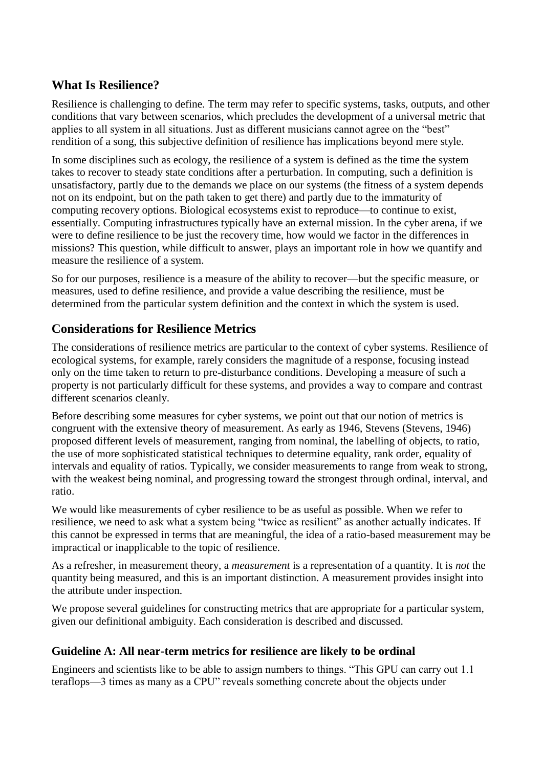# **What Is Resilience?**

Resilience is challenging to define. The term may refer to specific systems, tasks, outputs, and other conditions that vary between scenarios, which precludes the development of a universal metric that applies to all system in all situations. Just as different musicians cannot agree on the "best" rendition of a song, this subjective definition of resilience has implications beyond mere style.

In some disciplines such as ecology, the resilience of a system is defined as the time the system takes to recover to steady state conditions after a perturbation. In computing, such a definition is unsatisfactory, partly due to the demands we place on our systems (the fitness of a system depends not on its endpoint, but on the path taken to get there) and partly due to the immaturity of computing recovery options. Biological ecosystems exist to reproduce—to continue to exist, essentially. Computing infrastructures typically have an external mission. In the cyber arena, if we were to define resilience to be just the recovery time, how would we factor in the differences in missions? This question, while difficult to answer, plays an important role in how we quantify and measure the resilience of a system.

So for our purposes, resilience is a measure of the ability to recover—but the specific measure, or measures, used to define resilience, and provide a value describing the resilience, must be determined from the particular system definition and the context in which the system is used.

# **Considerations for Resilience Metrics**

The considerations of resilience metrics are particular to the context of cyber systems. Resilience of ecological systems, for example, rarely considers the magnitude of a response, focusing instead only on the time taken to return to pre-disturbance conditions. Developing a measure of such a property is not particularly difficult for these systems, and provides a way to compare and contrast different scenarios cleanly.

Before describing some measures for cyber systems, we point out that our notion of metrics is congruent with the extensive theory of measurement. As early as 1946, Stevens (Stevens, 1946) proposed different levels of measurement, ranging from nominal, the labelling of objects, to ratio, the use of more sophisticated statistical techniques to determine equality, rank order, equality of intervals and equality of ratios. Typically, we consider measurements to range from weak to strong, with the weakest being nominal, and progressing toward the strongest through ordinal, interval, and ratio.

We would like measurements of cyber resilience to be as useful as possible. When we refer to resilience, we need to ask what a system being "twice as resilient" as another actually indicates. If this cannot be expressed in terms that are meaningful, the idea of a ratio-based measurement may be impractical or inapplicable to the topic of resilience.

As a refresher, in measurement theory, a *measurement* is a representation of a quantity. It is *not* the quantity being measured, and this is an important distinction. A measurement provides insight into the attribute under inspection.

We propose several guidelines for constructing metrics that are appropriate for a particular system, given our definitional ambiguity. Each consideration is described and discussed.

### **Guideline A: All near-term metrics for resilience are likely to be ordinal**

Engineers and scientists like to be able to assign numbers to things. "This GPU can carry out 1.1 teraflops—3 times as many as a CPU" reveals something concrete about the objects under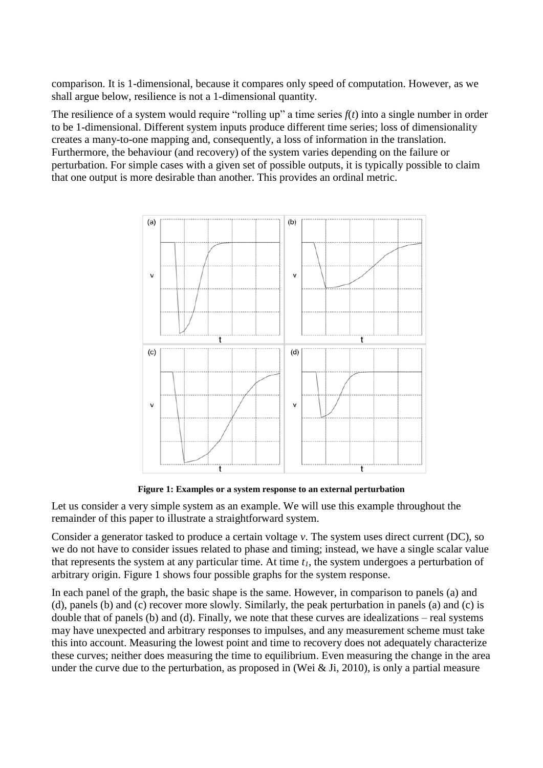comparison. It is 1-dimensional, because it compares only speed of computation. However, as we shall argue below, resilience is not a 1-dimensional quantity.

The resilience of a system would require "rolling up" a time series  $f(t)$  into a single number in order to be 1-dimensional. Different system inputs produce different time series; loss of dimensionality creates a many-to-one mapping and, consequently, a loss of information in the translation. Furthermore, the behaviour (and recovery) of the system varies depending on the failure or perturbation. For simple cases with a given set of possible outputs, it is typically possible to claim that one output is more desirable than another. This provides an ordinal metric.



**Figure 1: Examples or a system response to an external perturbation**

<span id="page-3-0"></span>Let us consider a very simple system as an example. We will use this example throughout the remainder of this paper to illustrate a straightforward system.

Consider a generator tasked to produce a certain voltage *v*. The system uses direct current (DC), so we do not have to consider issues related to phase and timing; instead, we have a single scalar value that represents the system at any particular time. At time *t1*, the system undergoes a perturbation of arbitrary origin. Figure 1 shows four possible graphs for the system response.

In each panel of the graph, the basic shape is the same. However, in comparison to panels (a) and (d), panels (b) and (c) recover more slowly. Similarly, the peak perturbation in panels (a) and (c) is double that of panels (b) and (d). Finally, we note that these curves are idealizations – real systems may have unexpected and arbitrary responses to impulses, and any measurement scheme must take this into account. Measuring the lowest point and time to recovery does not adequately characterize these curves; neither does measuring the time to equilibrium. Even measuring the change in the area under the curve due to the perturbation, as proposed in (Wei & Ji, 2010), is only a partial measure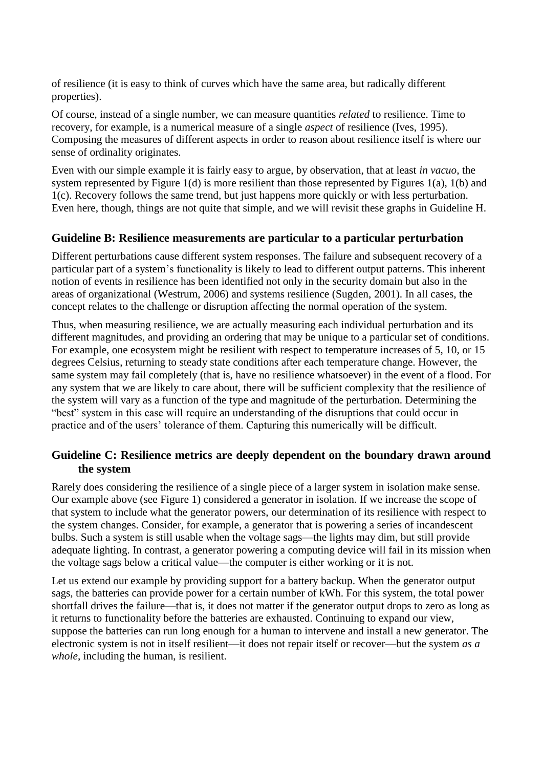of resilience (it is easy to think of curves which have the same area, but radically different properties).

Of course, instead of a single number, we can measure quantities *related* to resilience. Time to recovery, for example, is a numerical measure of a single *aspect* of resilience (Ives, 1995). Composing the measures of different aspects in order to reason about resilience itself is where our sense of ordinality originates.

Even with our simple example it is fairly easy to argue, by observation, that at least *in vacuo*, the system represented by Figure 1(d) is more resilient than those represented by Figures 1(a), 1(b) and 1(c). Recovery follows the same trend, but just happens more quickly or with less perturbation. Even here, though, things are not quite that simple, and we will revisit these graphs in Guideline H.

#### **Guideline B: Resilience measurements are particular to a particular perturbation**

Different perturbations cause different system responses. The failure and subsequent recovery of a particular part of a system's functionality is likely to lead to different output patterns. This inherent notion of events in resilience has been identified not only in the security domain but also in the areas of organizational (Westrum, 2006) and systems resilience (Sugden, 2001). In all cases, the concept relates to the challenge or disruption affecting the normal operation of the system.

Thus, when measuring resilience, we are actually measuring each individual perturbation and its different magnitudes, and providing an ordering that may be unique to a particular set of conditions. For example, one ecosystem might be resilient with respect to temperature increases of 5, 10, or 15 degrees Celsius, returning to steady state conditions after each temperature change. However, the same system may fail completely (that is, have no resilience whatsoever) in the event of a flood. For any system that we are likely to care about, there will be sufficient complexity that the resilience of the system will vary as a function of the type and magnitude of the perturbation. Determining the "best" system in this case will require an understanding of the disruptions that could occur in practice and of the users' tolerance of them. Capturing this numerically will be difficult.

### **Guideline C: Resilience metrics are deeply dependent on the boundary drawn around the system**

Rarely does considering the resilience of a single piece of a larger system in isolation make sense. Our example above (see [Figure 1\)](#page-3-0) considered a generator in isolation. If we increase the scope of that system to include what the generator powers, our determination of its resilience with respect to the system changes. Consider, for example, a generator that is powering a series of incandescent bulbs. Such a system is still usable when the voltage sags—the lights may dim, but still provide adequate lighting. In contrast, a generator powering a computing device will fail in its mission when the voltage sags below a critical value—the computer is either working or it is not.

Let us extend our example by providing support for a battery backup. When the generator output sags, the batteries can provide power for a certain number of kWh. For this system, the total power shortfall drives the failure—that is, it does not matter if the generator output drops to zero as long as it returns to functionality before the batteries are exhausted. Continuing to expand our view, suppose the batteries can run long enough for a human to intervene and install a new generator. The electronic system is not in itself resilient—it does not repair itself or recover—but the system *as a whole*, including the human, is resilient.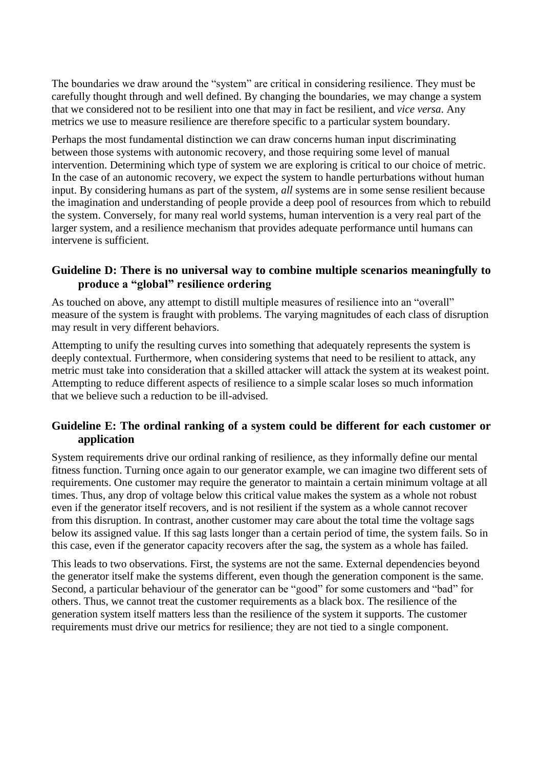The boundaries we draw around the "system" are critical in considering resilience. They must be carefully thought through and well defined. By changing the boundaries, we may change a system that we considered not to be resilient into one that may in fact be resilient, and *vice versa*. Any metrics we use to measure resilience are therefore specific to a particular system boundary.

Perhaps the most fundamental distinction we can draw concerns human input discriminating between those systems with autonomic recovery, and those requiring some level of manual intervention. Determining which type of system we are exploring is critical to our choice of metric. In the case of an autonomic recovery, we expect the system to handle perturbations without human input. By considering humans as part of the system, *all* systems are in some sense resilient because the imagination and understanding of people provide a deep pool of resources from which to rebuild the system. Conversely, for many real world systems, human intervention is a very real part of the larger system, and a resilience mechanism that provides adequate performance until humans can intervene is sufficient.

#### **Guideline D: There is no universal way to combine multiple scenarios meaningfully to produce a "global" resilience ordering**

As touched on above, any attempt to distill multiple measures of resilience into an "overall" measure of the system is fraught with problems. The varying magnitudes of each class of disruption may result in very different behaviors.

Attempting to unify the resulting curves into something that adequately represents the system is deeply contextual. Furthermore, when considering systems that need to be resilient to attack, any metric must take into consideration that a skilled attacker will attack the system at its weakest point. Attempting to reduce different aspects of resilience to a simple scalar loses so much information that we believe such a reduction to be ill-advised.

### **Guideline E: The ordinal ranking of a system could be different for each customer or application**

System requirements drive our ordinal ranking of resilience, as they informally define our mental fitness function. Turning once again to our generator example, we can imagine two different sets of requirements. One customer may require the generator to maintain a certain minimum voltage at all times. Thus, any drop of voltage below this critical value makes the system as a whole not robust even if the generator itself recovers, and is not resilient if the system as a whole cannot recover from this disruption. In contrast, another customer may care about the total time the voltage sags below its assigned value. If this sag lasts longer than a certain period of time, the system fails. So in this case, even if the generator capacity recovers after the sag, the system as a whole has failed.

This leads to two observations. First, the systems are not the same. External dependencies beyond the generator itself make the systems different, even though the generation component is the same. Second, a particular behaviour of the generator can be "good" for some customers and "bad" for others. Thus, we cannot treat the customer requirements as a black box. The resilience of the generation system itself matters less than the resilience of the system it supports. The customer requirements must drive our metrics for resilience; they are not tied to a single component.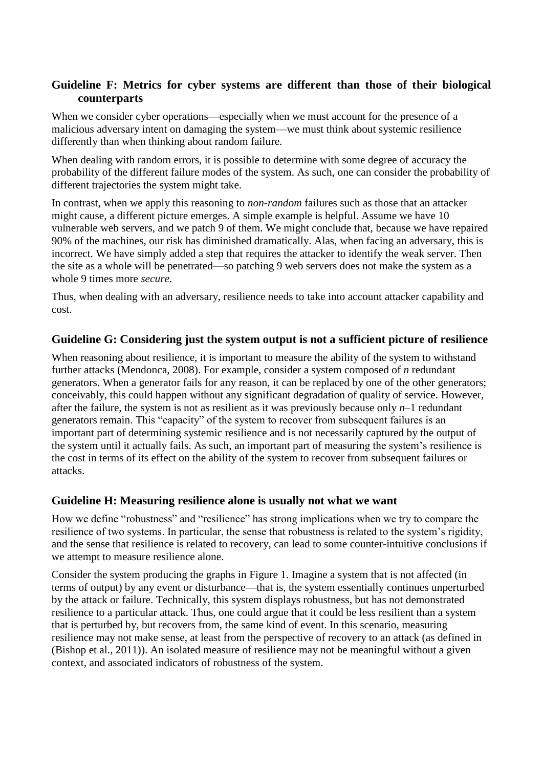### **Guideline F: Metrics for cyber systems are different than those of their biological counterparts**

When we consider cyber operations—especially when we must account for the presence of a malicious adversary intent on damaging the system—we must think about systemic resilience differently than when thinking about random failure.

When dealing with random errors, it is possible to determine with some degree of accuracy the probability of the different failure modes of the system. As such, one can consider the probability of different trajectories the system might take.

In contrast, when we apply this reasoning to *non-random* failures such as those that an attacker might cause, a different picture emerges. A simple example is helpful. Assume we have 10 vulnerable web servers, and we patch 9 of them. We might conclude that, because we have repaired 90% of the machines, our risk has diminished dramatically. Alas, when facing an adversary, this is incorrect. We have simply added a step that requires the attacker to identify the weak server. Then the site as a whole will be penetrated—so patching 9 web servers does not make the system as a whole 9 times more *secure*.

Thus, when dealing with an adversary, resilience needs to take into account attacker capability and cost.

#### **Guideline G: Considering just the system output is not a sufficient picture of resilience**

When reasoning about resilience, it is important to measure the ability of the system to withstand further attacks (Mendonca, 2008). For example, consider a system composed of *n* redundant generators. When a generator fails for any reason, it can be replaced by one of the other generators; conceivably, this could happen without any significant degradation of quality of service. However, after the failure, the system is not as resilient as it was previously because only *n*–1 redundant generators remain. This "capacity" of the system to recover from subsequent failures is an important part of determining systemic resilience and is not necessarily captured by the output of the system until it actually fails. As such, an important part of measuring the system's resilience is the cost in terms of its effect on the ability of the system to recover from subsequent failures or attacks.

### **Guideline H: Measuring resilience alone is usually not what we want**

How we define "robustness" and "resilience" has strong implications when we try to compare the resilience of two systems. In particular, the sense that robustness is related to the system's rigidity, and the sense that resilience is related to recovery, can lead to some counter-intuitive conclusions if we attempt to measure resilience alone.

Consider the system producing the graphs in [Figure 1.](#page-3-0) Imagine a system that is not affected (in terms of output) by any event or disturbance—that is, the system essentially continues unperturbed by the attack or failure. Technically, this system displays robustness, but has not demonstrated resilience to a particular attack. Thus, one could argue that it could be less resilient than a system that is perturbed by, but recovers from, the same kind of event. In this scenario, measuring resilience may not make sense, at least from the perspective of recovery to an attack (as defined in (Bishop et al., 2011)). An isolated measure of resilience may not be meaningful without a given context, and associated indicators of robustness of the system.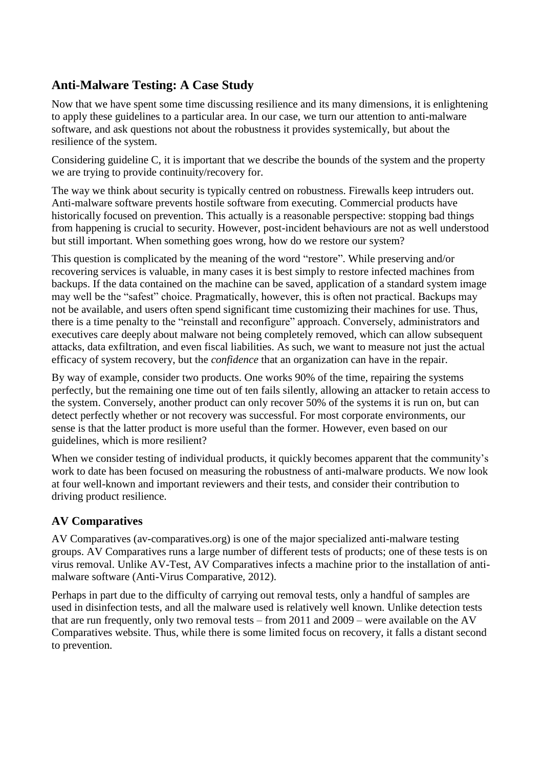# **Anti-Malware Testing: A Case Study**

Now that we have spent some time discussing resilience and its many dimensions, it is enlightening to apply these guidelines to a particular area. In our case, we turn our attention to anti-malware software, and ask questions not about the robustness it provides systemically, but about the resilience of the system.

Considering guideline C, it is important that we describe the bounds of the system and the property we are trying to provide continuity/recovery for.

The way we think about security is typically centred on robustness. Firewalls keep intruders out. Anti-malware software prevents hostile software from executing. Commercial products have historically focused on prevention. This actually is a reasonable perspective: stopping bad things from happening is crucial to security. However, post-incident behaviours are not as well understood but still important. When something goes wrong, how do we restore our system?

This question is complicated by the meaning of the word "restore". While preserving and/or recovering services is valuable, in many cases it is best simply to restore infected machines from backups. If the data contained on the machine can be saved, application of a standard system image may well be the "safest" choice. Pragmatically, however, this is often not practical. Backups may not be available, and users often spend significant time customizing their machines for use. Thus, there is a time penalty to the "reinstall and reconfigure" approach. Conversely, administrators and executives care deeply about malware not being completely removed, which can allow subsequent attacks, data exfiltration, and even fiscal liabilities. As such, we want to measure not just the actual efficacy of system recovery, but the *confidence* that an organization can have in the repair.

By way of example, consider two products. One works 90% of the time, repairing the systems perfectly, but the remaining one time out of ten fails silently, allowing an attacker to retain access to the system. Conversely, another product can only recover 50% of the systems it is run on, but can detect perfectly whether or not recovery was successful. For most corporate environments, our sense is that the latter product is more useful than the former. However, even based on our guidelines, which is more resilient?

When we consider testing of individual products, it quickly becomes apparent that the community's work to date has been focused on measuring the robustness of anti-malware products. We now look at four well-known and important reviewers and their tests, and consider their contribution to driving product resilience.

# **AV Comparatives**

AV Comparatives (av-comparatives.org) is one of the major specialized anti-malware testing groups. AV Comparatives runs a large number of different tests of products; one of these tests is on virus removal. Unlike AV-Test, AV Comparatives infects a machine prior to the installation of antimalware software (Anti-Virus Comparative, 2012).

Perhaps in part due to the difficulty of carrying out removal tests, only a handful of samples are used in disinfection tests, and all the malware used is relatively well known. Unlike detection tests that are run frequently, only two removal tests – from 2011 and 2009 – were available on the AV Comparatives website. Thus, while there is some limited focus on recovery, it falls a distant second to prevention.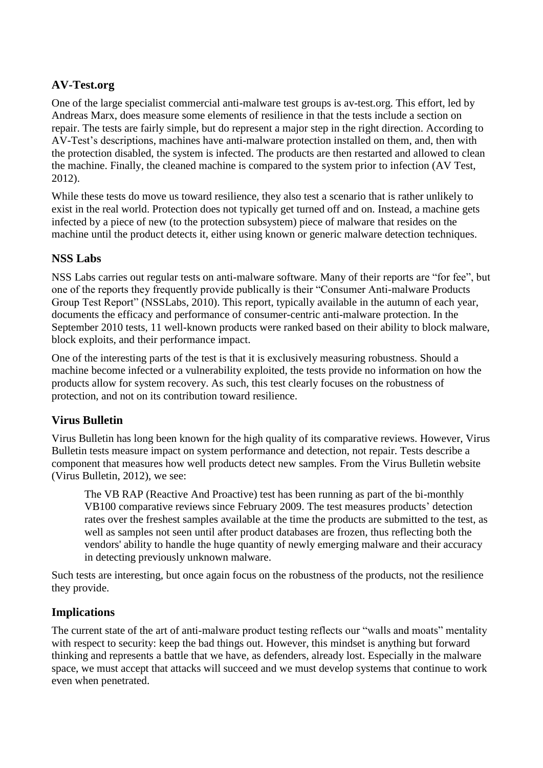### **AV-Test.org**

One of the large specialist commercial anti-malware test groups is av-test.org. This effort, led by Andreas Marx, does measure some elements of resilience in that the tests include a section on repair. The tests are fairly simple, but do represent a major step in the right direction. According to AV-Test's descriptions, machines have anti-malware protection installed on them, and, then with the protection disabled, the system is infected. The products are then restarted and allowed to clean the machine. Finally, the cleaned machine is compared to the system prior to infection (AV Test, 2012).

While these tests do move us toward resilience, they also test a scenario that is rather unlikely to exist in the real world. Protection does not typically get turned off and on. Instead, a machine gets infected by a piece of new (to the protection subsystem) piece of malware that resides on the machine until the product detects it, either using known or generic malware detection techniques.

### **NSS Labs**

NSS Labs carries out regular tests on anti-malware software. Many of their reports are "for fee", but one of the reports they frequently provide publically is their "Consumer Anti-malware Products Group Test Report" (NSSLabs, 2010). This report, typically available in the autumn of each year, documents the efficacy and performance of consumer-centric anti-malware protection. In the September 2010 tests, 11 well-known products were ranked based on their ability to block malware, block exploits, and their performance impact.

One of the interesting parts of the test is that it is exclusively measuring robustness. Should a machine become infected or a vulnerability exploited, the tests provide no information on how the products allow for system recovery. As such, this test clearly focuses on the robustness of protection, and not on its contribution toward resilience.

# **Virus Bulletin**

Virus Bulletin has long been known for the high quality of its comparative reviews. However, Virus Bulletin tests measure impact on system performance and detection, not repair. Tests describe a component that measures how well products detect new samples. From the Virus Bulletin website (Virus Bulletin, 2012), we see:

The VB RAP (Reactive And Proactive) test has been running as part of the bi-monthly VB100 comparative reviews since February 2009. The test measures products' detection rates over the freshest samples available at the time the products are submitted to the test, as well as samples not seen until after product databases are frozen, thus reflecting both the vendors' ability to handle the huge quantity of newly emerging malware and their accuracy in detecting previously unknown malware.

Such tests are interesting, but once again focus on the robustness of the products, not the resilience they provide.

### **Implications**

The current state of the art of anti-malware product testing reflects our "walls and moats" mentality with respect to security: keep the bad things out. However, this mindset is anything but forward thinking and represents a battle that we have, as defenders, already lost. Especially in the malware space, we must accept that attacks will succeed and we must develop systems that continue to work even when penetrated.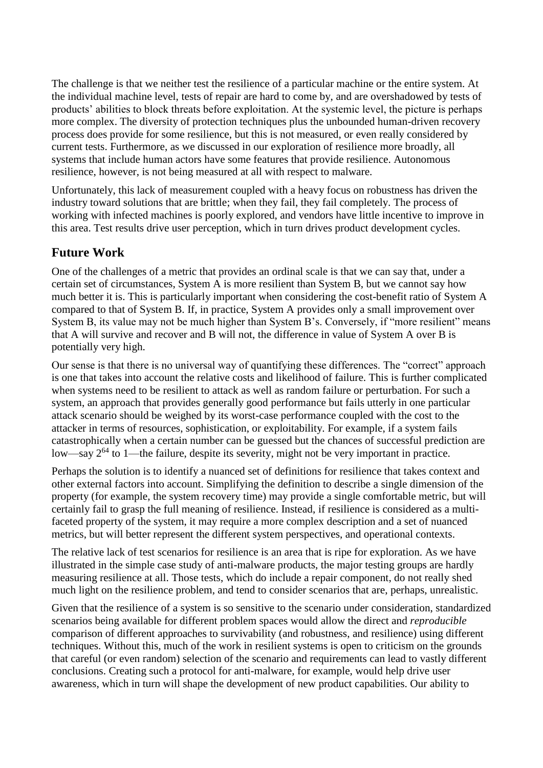The challenge is that we neither test the resilience of a particular machine or the entire system. At the individual machine level, tests of repair are hard to come by, and are overshadowed by tests of products' abilities to block threats before exploitation. At the systemic level, the picture is perhaps more complex. The diversity of protection techniques plus the unbounded human-driven recovery process does provide for some resilience, but this is not measured, or even really considered by current tests. Furthermore, as we discussed in our exploration of resilience more broadly, all systems that include human actors have some features that provide resilience. Autonomous resilience, however, is not being measured at all with respect to malware.

Unfortunately, this lack of measurement coupled with a heavy focus on robustness has driven the industry toward solutions that are brittle; when they fail, they fail completely. The process of working with infected machines is poorly explored, and vendors have little incentive to improve in this area. Test results drive user perception, which in turn drives product development cycles.

# **Future Work**

One of the challenges of a metric that provides an ordinal scale is that we can say that, under a certain set of circumstances, System A is more resilient than System B, but we cannot say how much better it is. This is particularly important when considering the cost-benefit ratio of System A compared to that of System B. If, in practice, System A provides only a small improvement over System B, its value may not be much higher than System B's. Conversely, if "more resilient" means that A will survive and recover and B will not, the difference in value of System A over B is potentially very high.

Our sense is that there is no universal way of quantifying these differences. The "correct" approach is one that takes into account the relative costs and likelihood of failure. This is further complicated when systems need to be resilient to attack as well as random failure or perturbation. For such a system, an approach that provides generally good performance but fails utterly in one particular attack scenario should be weighed by its worst-case performance coupled with the cost to the attacker in terms of resources, sophistication, or exploitability. For example, if a system fails catastrophically when a certain number can be guessed but the chances of successful prediction are low—say  $2^{64}$  to 1—the failure, despite its severity, might not be very important in practice.

Perhaps the solution is to identify a nuanced set of definitions for resilience that takes context and other external factors into account. Simplifying the definition to describe a single dimension of the property (for example, the system recovery time) may provide a single comfortable metric, but will certainly fail to grasp the full meaning of resilience. Instead, if resilience is considered as a multifaceted property of the system, it may require a more complex description and a set of nuanced metrics, but will better represent the different system perspectives, and operational contexts.

The relative lack of test scenarios for resilience is an area that is ripe for exploration. As we have illustrated in the simple case study of anti-malware products, the major testing groups are hardly measuring resilience at all. Those tests, which do include a repair component, do not really shed much light on the resilience problem, and tend to consider scenarios that are, perhaps, unrealistic.

Given that the resilience of a system is so sensitive to the scenario under consideration, standardized scenarios being available for different problem spaces would allow the direct and *reproducible* comparison of different approaches to survivability (and robustness, and resilience) using different techniques. Without this, much of the work in resilient systems is open to criticism on the grounds that careful (or even random) selection of the scenario and requirements can lead to vastly different conclusions. Creating such a protocol for anti-malware, for example, would help drive user awareness, which in turn will shape the development of new product capabilities. Our ability to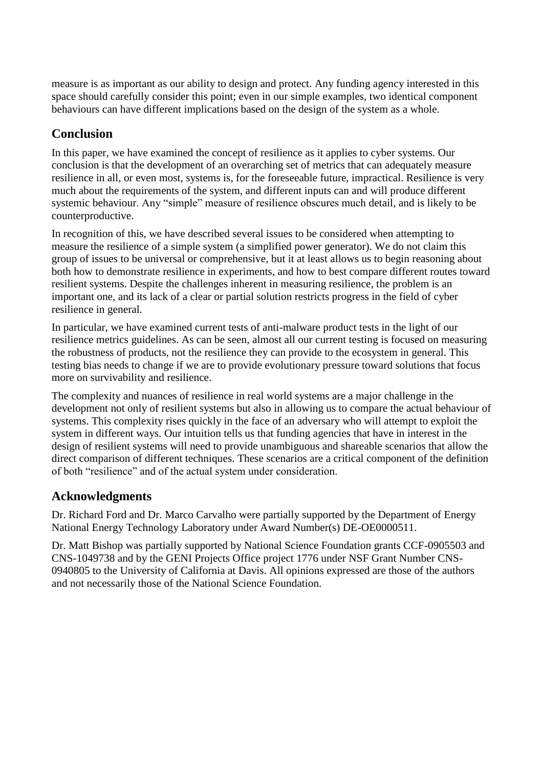measure is as important as our ability to design and protect. Any funding agency interested in this space should carefully consider this point; even in our simple examples, two identical component behaviours can have different implications based on the design of the system as a whole.

# **Conclusion**

In this paper, we have examined the concept of resilience as it applies to cyber systems. Our conclusion is that the development of an overarching set of metrics that can adequately measure resilience in all, or even most, systems is, for the foreseeable future, impractical. Resilience is very much about the requirements of the system, and different inputs can and will produce different systemic behaviour. Any "simple" measure of resilience obscures much detail, and is likely to be counterproductive.

In recognition of this, we have described several issues to be considered when attempting to measure the resilience of a simple system (a simplified power generator). We do not claim this group of issues to be universal or comprehensive, but it at least allows us to begin reasoning about both how to demonstrate resilience in experiments, and how to best compare different routes toward resilient systems. Despite the challenges inherent in measuring resilience, the problem is an important one, and its lack of a clear or partial solution restricts progress in the field of cyber resilience in general.

In particular, we have examined current tests of anti-malware product tests in the light of our resilience metrics guidelines. As can be seen, almost all our current testing is focused on measuring the robustness of products, not the resilience they can provide to the ecosystem in general. This testing bias needs to change if we are to provide evolutionary pressure toward solutions that focus more on survivability and resilience.

The complexity and nuances of resilience in real world systems are a major challenge in the development not only of resilient systems but also in allowing us to compare the actual behaviour of systems. This complexity rises quickly in the face of an adversary who will attempt to exploit the system in different ways. Our intuition tells us that funding agencies that have in interest in the design of resilient systems will need to provide unambiguous and shareable scenarios that allow the direct comparison of different techniques. These scenarios are a critical component of the definition of both "resilience" and of the actual system under consideration.

# **Acknowledgments**

Dr. Richard Ford and Dr. Marco Carvalho were partially supported by the Department of Energy National Energy Technology Laboratory under Award Number(s) DE-OE0000511.

Dr. Matt Bishop was partially supported by National Science Foundation grants CCF-0905503 and CNS-1049738 and by the GENI Projects Office project 1776 under NSF Grant Number CNS-0940805 to the University of California at Davis. All opinions expressed are those of the authors and not necessarily those of the National Science Foundation.